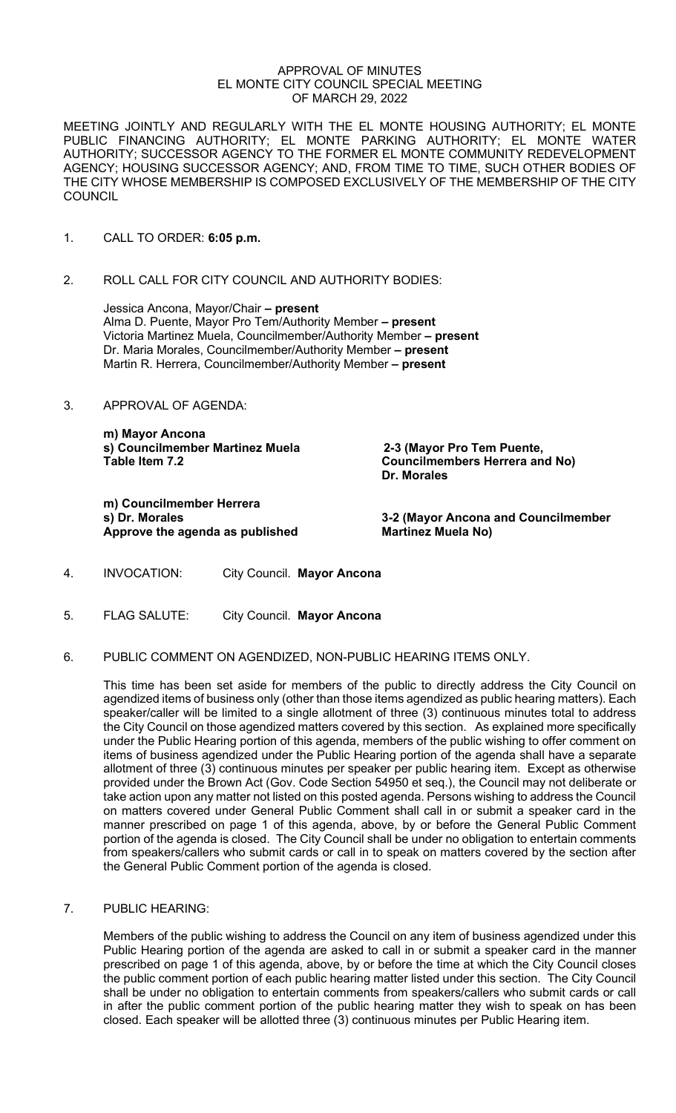#### APPROVAL OF MINUTES EL MONTE CITY COUNCIL SPECIAL MEETING OF MARCH 29, 2022

MEETING JOINTLY AND REGULARLY WITH THE EL MONTE HOUSING AUTHORITY; EL MONTE PUBLIC FINANCING AUTHORITY; EL MONTE PARKING AUTHORITY; EL MONTE WATER AUTHORITY; SUCCESSOR AGENCY TO THE FORMER EL MONTE COMMUNITY REDEVELOPMENT AGENCY; HOUSING SUCCESSOR AGENCY; AND, FROM TIME TO TIME, SUCH OTHER BODIES OF THE CITY WHOSE MEMBERSHIP IS COMPOSED EXCLUSIVELY OF THE MEMBERSHIP OF THE CITY **COUNCIL** 

- 1. CALL TO ORDER: **6:05 p.m.**
- 2. ROLL CALL FOR CITY COUNCIL AND AUTHORITY BODIES:

Jessica Ancona, Mayor/Chair **– present**  Alma D. Puente, Mayor Pro Tem/Authority Member **– present** Victoria Martinez Muela, Councilmember/Authority Member **– present** Dr. Maria Morales, Councilmember/Authority Member **– present** Martin R. Herrera, Councilmember/Authority Member **– present**

3. APPROVAL OF AGENDA:

**m) Mayor Ancona s) Councilmember Martinez Muela 2-3 (Mayor Pro Tem Puente,** 

**m) Councilmember Herrera Approve the agenda as published Martinez Muela No)** 

**Councilmembers Herrera and No) Dr. Morales**

**3-2 (Mayor Ancona and Councilmember** 

- 4. INVOCATION: City Council. **Mayor Ancona**
- 5. FLAG SALUTE: City Council. **Mayor Ancona**
- 6. PUBLIC COMMENT ON AGENDIZED, NON-PUBLIC HEARING ITEMS ONLY.

This time has been set aside for members of the public to directly address the City Council on agendized items of business only (other than those items agendized as public hearing matters). Each speaker/caller will be limited to a single allotment of three (3) continuous minutes total to address the City Council on those agendized matters covered by this section. As explained more specifically under the Public Hearing portion of this agenda, members of the public wishing to offer comment on items of business agendized under the Public Hearing portion of the agenda shall have a separate allotment of three (3) continuous minutes per speaker per public hearing item. Except as otherwise provided under the Brown Act (Gov. Code Section 54950 et seq.), the Council may not deliberate or take action upon any matter not listed on this posted agenda. Persons wishing to address the Council on matters covered under General Public Comment shall call in or submit a speaker card in the manner prescribed on page 1 of this agenda, above, by or before the General Public Comment portion of the agenda is closed. The City Council shall be under no obligation to entertain comments from speakers/callers who submit cards or call in to speak on matters covered by the section after the General Public Comment portion of the agenda is closed.

7. PUBLIC HEARING:

Members of the public wishing to address the Council on any item of business agendized under this Public Hearing portion of the agenda are asked to call in or submit a speaker card in the manner prescribed on page 1 of this agenda, above, by or before the time at which the City Council closes the public comment portion of each public hearing matter listed under this section. The City Council shall be under no obligation to entertain comments from speakers/callers who submit cards or call in after the public comment portion of the public hearing matter they wish to speak on has been closed. Each speaker will be allotted three (3) continuous minutes per Public Hearing item.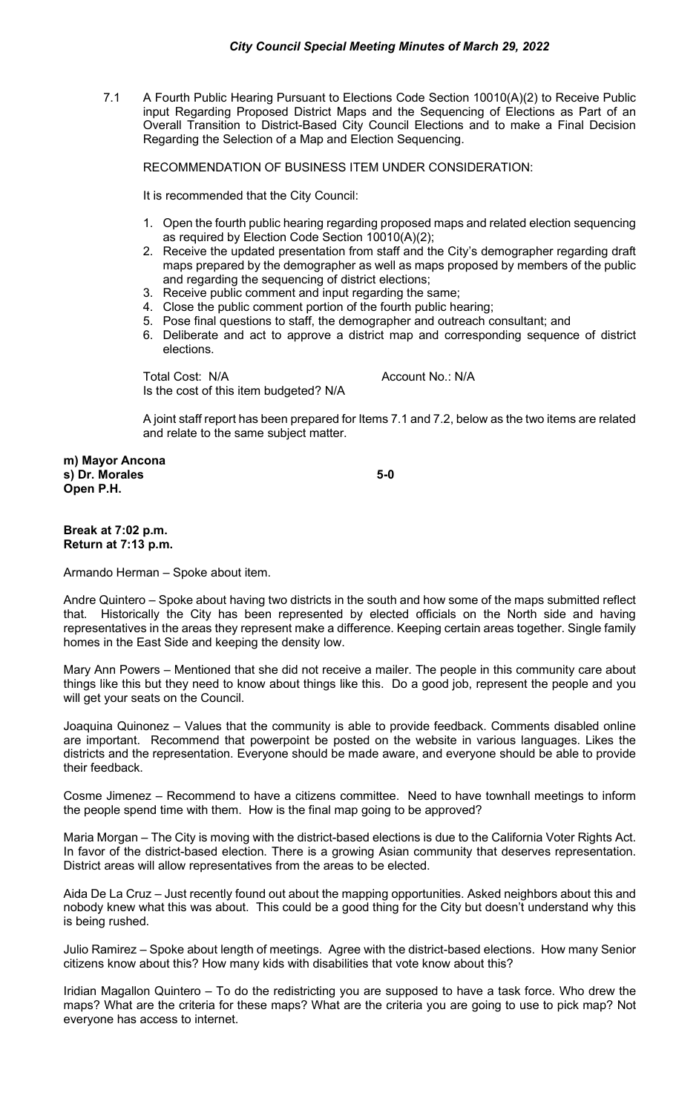7.1 A Fourth Public Hearing Pursuant to Elections Code Section 10010(A)(2) to Receive Public input Regarding Proposed District Maps and the Sequencing of Elections as Part of an Overall Transition to District-Based City Council Elections and to make a Final Decision Regarding the Selection of a Map and Election Sequencing.

RECOMMENDATION OF BUSINESS ITEM UNDER CONSIDERATION:

It is recommended that the City Council:

- 1. Open the fourth public hearing regarding proposed maps and related election sequencing as required by Election Code Section 10010(A)(2);
- 2. Receive the updated presentation from staff and the City's demographer regarding draft maps prepared by the demographer as well as maps proposed by members of the public and regarding the sequencing of district elections;
- 3. Receive public comment and input regarding the same;
- 4. Close the public comment portion of the fourth public hearing;
- 5. Pose final questions to staff, the demographer and outreach consultant; and
- 6. Deliberate and act to approve a district map and corresponding sequence of district elections.

Total Cost: N/A Account No.: N/A Is the cost of this item budgeted? N/A

A joint staff report has been prepared for Items 7.1 and 7.2, below as the two items are related and relate to the same subject matter.

**m) Mayor Ancona s) Dr. Morales 5-0 Open P.H.** 

#### **Break at 7:02 p.m. Return at 7:13 p.m.**

Armando Herman – Spoke about item.

Andre Quintero – Spoke about having two districts in the south and how some of the maps submitted reflect that. Historically the City has been represented by elected officials on the North side and having representatives in the areas they represent make a difference. Keeping certain areas together. Single family homes in the East Side and keeping the density low.

Mary Ann Powers – Mentioned that she did not receive a mailer. The people in this community care about things like this but they need to know about things like this. Do a good job, represent the people and you will get your seats on the Council.

Joaquina Quinonez – Values that the community is able to provide feedback. Comments disabled online are important. Recommend that powerpoint be posted on the website in various languages. Likes the districts and the representation. Everyone should be made aware, and everyone should be able to provide their feedback.

Cosme Jimenez – Recommend to have a citizens committee. Need to have townhall meetings to inform the people spend time with them. How is the final map going to be approved?

Maria Morgan – The City is moving with the district-based elections is due to the California Voter Rights Act. In favor of the district-based election. There is a growing Asian community that deserves representation. District areas will allow representatives from the areas to be elected.

Aida De La Cruz – Just recently found out about the mapping opportunities. Asked neighbors about this and nobody knew what this was about. This could be a good thing for the City but doesn't understand why this is being rushed.

Julio Ramirez – Spoke about length of meetings. Agree with the district-based elections. How many Senior citizens know about this? How many kids with disabilities that vote know about this?

Iridian Magallon Quintero – To do the redistricting you are supposed to have a task force. Who drew the maps? What are the criteria for these maps? What are the criteria you are going to use to pick map? Not everyone has access to internet.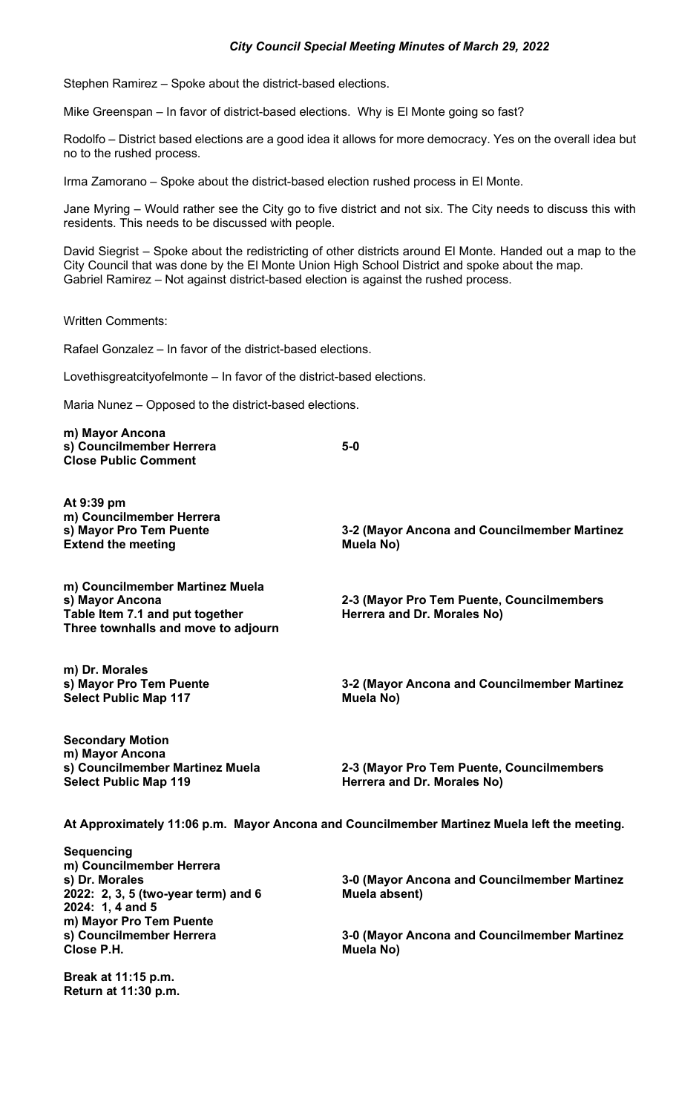## *City Council Special Meeting Minutes of March 29, 2022*

Stephen Ramirez – Spoke about the district-based elections.

Mike Greenspan – In favor of district-based elections. Why is El Monte going so fast?

Rodolfo – District based elections are a good idea it allows for more democracy. Yes on the overall idea but no to the rushed process.

Irma Zamorano – Spoke about the district-based election rushed process in El Monte.

Jane Myring – Would rather see the City go to five district and not six. The City needs to discuss this with residents. This needs to be discussed with people.

David Siegrist – Spoke about the redistricting of other districts around El Monte. Handed out a map to the City Council that was done by the El Monte Union High School District and spoke about the map. Gabriel Ramirez – Not against district-based election is against the rushed process.

Written Comments:

Rafael Gonzalez – In favor of the district-based elections.

Lovethisgreatcityofelmonte – In favor of the district-based elections.

Maria Nunez – Opposed to the district-based elections.

**m) Mayor Ancona s) Councilmember Herrera 5-0 Close Public Comment At 9:39 pm m) Councilmember Herrera 3-2 (Mayor Ancona and Councilmember Martinez Extend the meeting**  Muela No) **m) Councilmember Martinez Muela s) Mayor Ancona 2-3 (Mayor Pro Tem Puente, Councilmembers** Table Item 7.1 and put together **Herrera and Dr. Morales No**) **Three townhalls and move to adjourn m) Dr. Morales 3-2 (Mayor Ancona and Councilmember Martinez Muela No) Select Public Map 117 Secondary Motion m) Mayor Ancona s) Councilmember Martinez Muela 2-3 (Mayor Pro Tem Puente, Councilmembers Select Public Map 119 Herrera and Dr. Morales No) At Approximately 11:06 p.m. Mayor Ancona and Councilmember Martinez Muela left the meeting. Sequencing m) Councilmember Herrera s) Dr. Morales 3-0 (Mayor Ancona and Councilmember Martinez 2022: 2, 3, 5 (two-year term) and 6 2024: 1, 4 and 5 m) Mayor Pro Tem Puente s) Councilmember Herrera 3-0 (Mayor Ancona and Councilmember Martinez**

**Break at 11:15 p.m. Return at 11:30 p.m.** 

**Close P.H. Muela No)**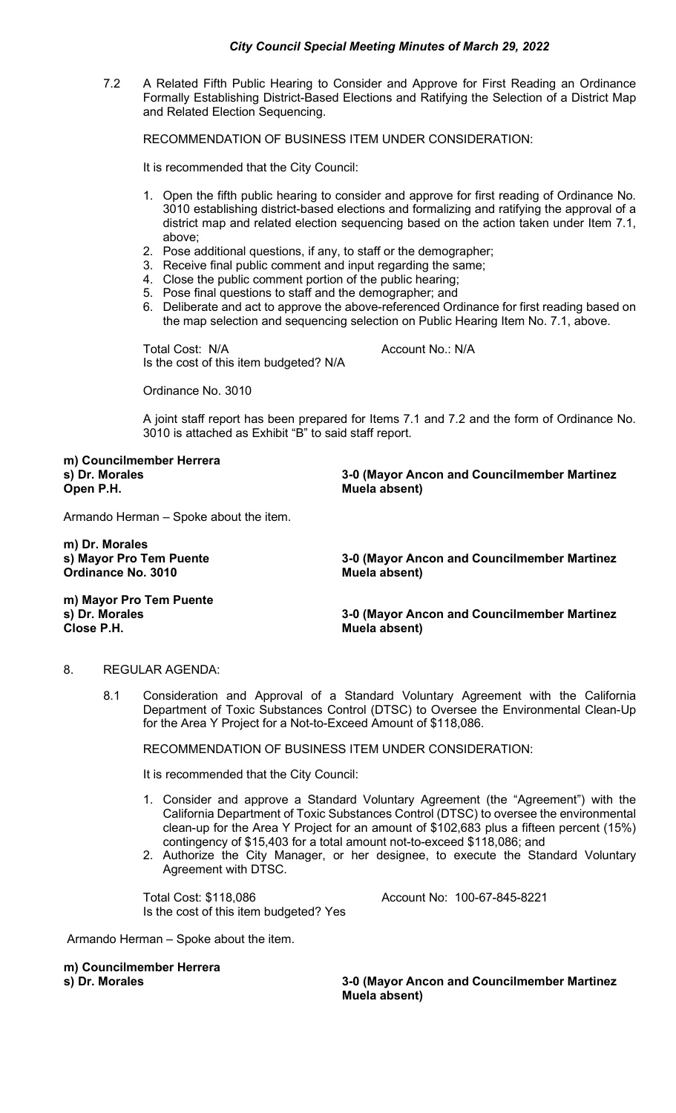7.2 A Related Fifth Public Hearing to Consider and Approve for First Reading an Ordinance Formally Establishing District-Based Elections and Ratifying the Selection of a District Map and Related Election Sequencing.

RECOMMENDATION OF BUSINESS ITEM UNDER CONSIDERATION:

It is recommended that the City Council:

- 1. Open the fifth public hearing to consider and approve for first reading of Ordinance No. 3010 establishing district-based elections and formalizing and ratifying the approval of a district map and related election sequencing based on the action taken under Item 7.1, above;
- 2. Pose additional questions, if any, to staff or the demographer;
- 3. Receive final public comment and input regarding the same;
- 4. Close the public comment portion of the public hearing;
- 5. Pose final questions to staff and the demographer; and
- 6. Deliberate and act to approve the above-referenced Ordinance for first reading based on the map selection and sequencing selection on Public Hearing Item No. 7.1, above.

Total Cost: N/A Account No.: N/A Is the cost of this item budgeted? N/A

Ordinance No. 3010

A joint staff report has been prepared for Items 7.1 and 7.2 and the form of Ordinance No. 3010 is attached as Exhibit "B" to said staff report.

**m) Councilmember Herrera**

**s) Dr. Morales 3-0 (Mayor Ancon and Councilmember Martinez Muela absent)** 

Armando Herman – Spoke about the item.

**m) Dr. Morales Ordinance No. 3010** 

**s) Mayor Pro Tem Puente 3-0 (Mayor Ancon and Councilmember Martinez**

**m) Mayor Pro Tem Puente**

**s) Dr. Morales 3-0 (Mayor Ancon and Councilmember Martinez Close P.H. Muela absent)**

#### 8. REGULAR AGENDA:

8.1 Consideration and Approval of a Standard Voluntary Agreement with the California Department of Toxic Substances Control (DTSC) to Oversee the Environmental Clean-Up for the Area Y Project for a Not-to-Exceed Amount of \$118,086.

RECOMMENDATION OF BUSINESS ITEM UNDER CONSIDERATION:

It is recommended that the City Council:

- 1. Consider and approve a Standard Voluntary Agreement (the "Agreement") with the California Department of Toxic Substances Control (DTSC) to oversee the environmental clean-up for the Area Y Project for an amount of \$102,683 plus a fifteen percent (15%) contingency of \$15,403 for a total amount not-to-exceed \$118,086; and
- 2. Authorize the City Manager, or her designee, to execute the Standard Voluntary Agreement with DTSC.

Total Cost: \$118,086 Account No: 100-67-845-8221 Is the cost of this item budgeted? Yes

Armando Herman – Spoke about the item.

**m) Councilmember Herrera**

**3-0 (Mayor Ancon and Councilmember Martinez Muela absent)**